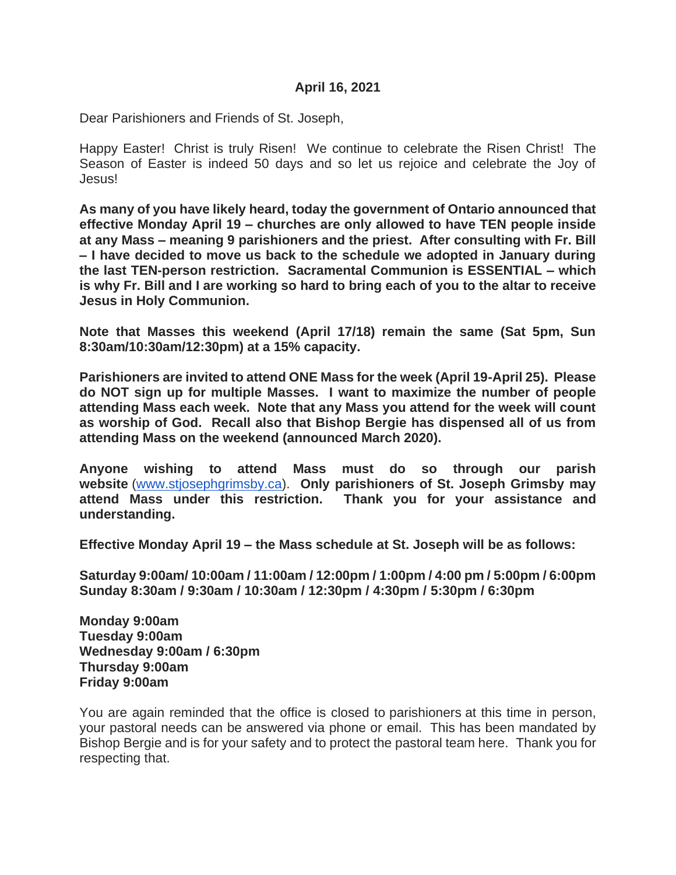#### **April 16, 2021**

Dear Parishioners and Friends of St. Joseph,

Happy Easter! Christ is truly Risen! We continue to celebrate the Risen Christ! The Season of Easter is indeed 50 days and so let us rejoice and celebrate the Joy of Jesus!

**As many of you have likely heard, today the government of Ontario announced that effective Monday April 19 – churches are only allowed to have TEN people inside at any Mass – meaning 9 parishioners and the priest. After consulting with Fr. Bill – I have decided to move us back to the schedule we adopted in January during the last TEN-person restriction. Sacramental Communion is ESSENTIAL – which is why Fr. Bill and I are working so hard to bring each of you to the altar to receive Jesus in Holy Communion.** 

**Note that Masses this weekend (April 17/18) remain the same (Sat 5pm, Sun 8:30am/10:30am/12:30pm) at a 15% capacity.** 

**Parishioners are invited to attend ONE Mass for the week (April 19-April 25). Please do NOT sign up for multiple Masses. I want to maximize the number of people attending Mass each week. Note that any Mass you attend for the week will count as worship of God. Recall also that Bishop Bergie has dispensed all of us from attending Mass on the weekend (announced March 2020).** 

**Anyone wishing to attend Mass must do so through our parish website** [\(www.stjosephgrimsby.ca\)](http://www.stjosephgrimsby.ca/). **Only parishioners of St. Joseph Grimsby may attend Mass under this restriction. Thank you for your assistance and understanding.** 

**Effective Monday April 19 – the Mass schedule at St. Joseph will be as follows:**

**Saturday 9:00am/ 10:00am / 11:00am / 12:00pm / 1:00pm / 4:00 pm / 5:00pm / 6:00pm Sunday 8:30am / 9:30am / 10:30am / 12:30pm / 4:30pm / 5:30pm / 6:30pm**

**Monday 9:00am Tuesday 9:00am Wednesday 9:00am / 6:30pm Thursday 9:00am Friday 9:00am**

You are again reminded that the office is closed to parishioners at this time in person, your pastoral needs can be answered via phone or email. This has been mandated by Bishop Bergie and is for your safety and to protect the pastoral team here. Thank you for respecting that.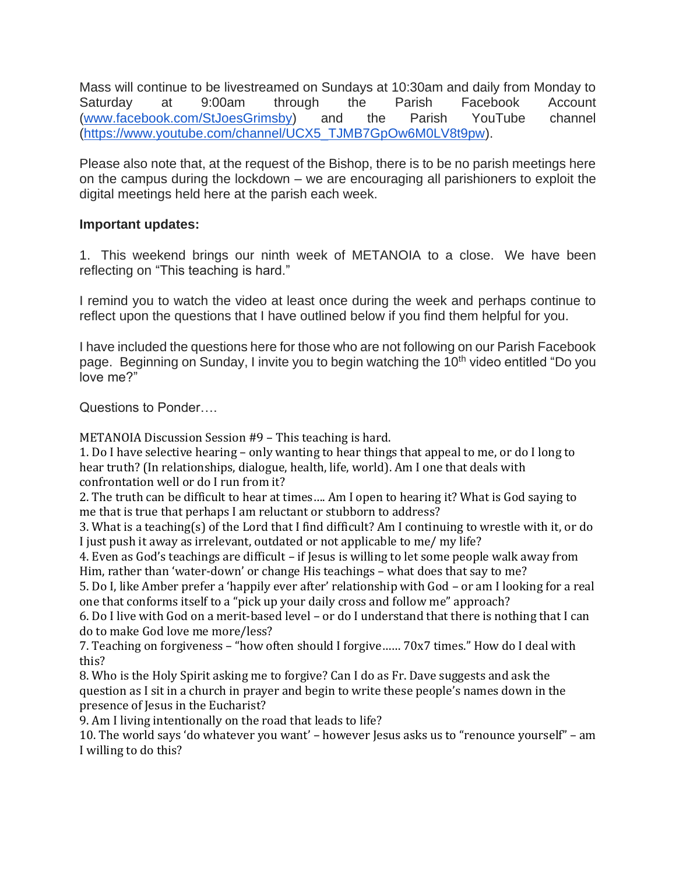Mass will continue to be livestreamed on Sundays at 10:30am and daily from Monday to Saturday at 9:00am through the Parish Facebook Account [\(www.facebook.com/StJoesGrimsby\)](http://www.facebook.com/StJoesGrimsby) and the Parish YouTube channel [\(https://www.youtube.com/channel/UCX5\\_TJMB7GpOw6M0LV8t9pw\)](https://www.youtube.com/channel/UCX5_TJMB7GpOw6M0LV8t9pw).

Please also note that, at the request of the Bishop, there is to be no parish meetings here on the campus during the lockdown – we are encouraging all parishioners to exploit the digital meetings held here at the parish each week.

## **Important updates:**

1. This weekend brings our ninth week of METANOIA to a close. We have been reflecting on "This teaching is hard."

I remind you to watch the video at least once during the week and perhaps continue to reflect upon the questions that I have outlined below if you find them helpful for you.

I have included the questions here for those who are not following on our Parish Facebook page. Beginning on Sunday, I invite you to begin watching the 10<sup>th</sup> video entitled "Do you love me?"

Questions to Ponder….

METANOIA Discussion Session #9 – This teaching is hard.

1. Do I have selective hearing – only wanting to hear things that appeal to me, or do I long to hear truth? (In relationships, dialogue, health, life, world). Am I one that deals with confrontation well or do I run from it?

2. The truth can be difficult to hear at times…. Am I open to hearing it? What is God saying to me that is true that perhaps I am reluctant or stubborn to address?

3. What is a teaching(s) of the Lord that I find difficult? Am I continuing to wrestle with it, or do I just push it away as irrelevant, outdated or not applicable to me/ my life?

4. Even as God's teachings are difficult – if Jesus is willing to let some people walk away from Him, rather than 'water-down' or change His teachings – what does that say to me?

5. Do I, like Amber prefer a 'happily ever after' relationship with God – or am I looking for a real one that conforms itself to a "pick up your daily cross and follow me" approach?

6. Do I live with God on a merit-based level – or do I understand that there is nothing that I can do to make God love me more/less?

7. Teaching on forgiveness – "how often should I forgive…… 70x7 times." How do I deal with this?

8. Who is the Holy Spirit asking me to forgive? Can I do as Fr. Dave suggests and ask the question as I sit in a church in prayer and begin to write these people's names down in the presence of Jesus in the Eucharist?

9. Am I living intentionally on the road that leads to life?

10. The world says 'do whatever you want' – however Jesus asks us to "renounce yourself" – am I willing to do this?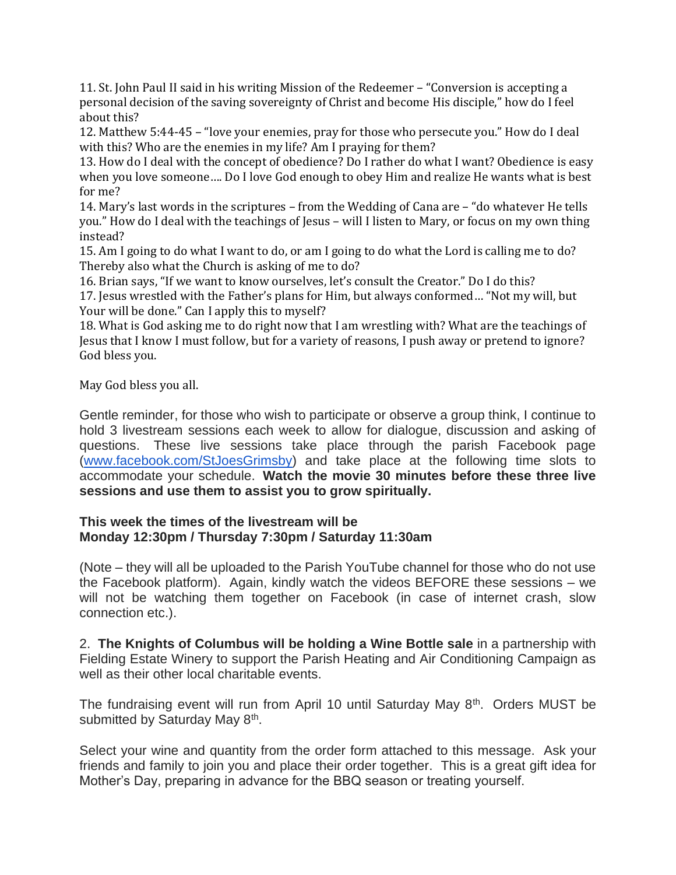11. St. John Paul II said in his writing Mission of the Redeemer – "Conversion is accepting a personal decision of the saving sovereignty of Christ and become His disciple," how do I feel about this?

12. Matthew 5:44-45 – "love your enemies, pray for those who persecute you." How do I deal with this? Who are the enemies in my life? Am I praying for them?

13. How do I deal with the concept of obedience? Do I rather do what I want? Obedience is easy when you love someone…. Do I love God enough to obey Him and realize He wants what is best for me?

14. Mary's last words in the scriptures – from the Wedding of Cana are – "do whatever He tells you." How do I deal with the teachings of Jesus – will I listen to Mary, or focus on my own thing instead?

15. Am I going to do what I want to do, or am I going to do what the Lord is calling me to do? Thereby also what the Church is asking of me to do?

16. Brian says, "If we want to know ourselves, let's consult the Creator." Do I do this?

17. Jesus wrestled with the Father's plans for Him, but always conformed… "Not my will, but Your will be done." Can I apply this to myself?

18. What is God asking me to do right now that I am wrestling with? What are the teachings of Jesus that I know I must follow, but for a variety of reasons, I push away or pretend to ignore? God bless you.

May God bless you all.

Gentle reminder, for those who wish to participate or observe a group think, I continue to hold 3 livestream sessions each week to allow for dialogue, discussion and asking of questions. These live sessions take place through the parish Facebook page [\(www.facebook.com/StJoesGrimsby\)](http://www.facebook.com/StJoesGrimsby) and take place at the following time slots to accommodate your schedule. **Watch the movie 30 minutes before these three live sessions and use them to assist you to grow spiritually.**

#### **This week the times of the livestream will be Monday 12:30pm / Thursday 7:30pm / Saturday 11:30am**

(Note – they will all be uploaded to the Parish YouTube channel for those who do not use the Facebook platform). Again, kindly watch the videos BEFORE these sessions – we will not be watching them together on Facebook (in case of internet crash, slow connection etc.).

2. **The Knights of Columbus will be holding a Wine Bottle sale** in a partnership with Fielding Estate Winery to support the Parish Heating and Air Conditioning Campaign as well as their other local charitable events.

The fundraising event will run from April 10 until Saturday May 8<sup>th</sup>. Orders MUST be submitted by Saturday May 8<sup>th</sup>.

Select your wine and quantity from the order form attached to this message. Ask your friends and family to join you and place their order together. This is a great gift idea for Mother's Day, preparing in advance for the BBQ season or treating yourself.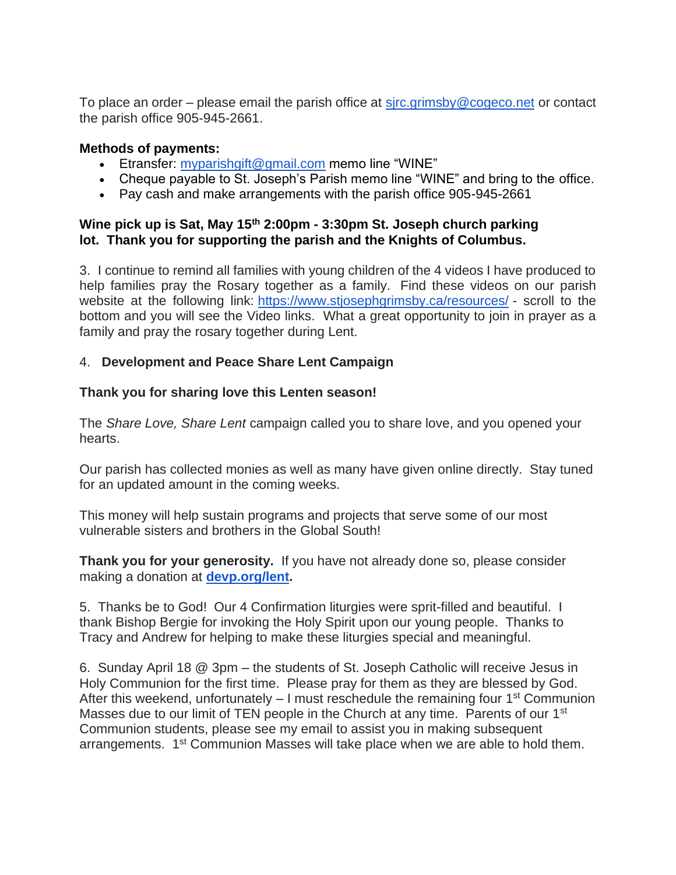To place an order – please email the parish office at  $s$  *i*rc.grimsby @cogeco.net or contact the parish office 905-945-2661.

#### **Methods of payments:**

- Etransfer: [myparishgift@gmail.com](mailto:myparishgift@gmail.com) memo line "WINE"
- Cheque payable to St. Joseph's Parish memo line "WINE" and bring to the office.
- Pay cash and make arrangements with the parish office 905-945-2661

## **Wine pick up is Sat, May 15th 2:00pm - 3:30pm St. Joseph church parking lot. Thank you for supporting the parish and the Knights of Columbus.**

3. I continue to remind all families with young children of the 4 videos I have produced to help families pray the Rosary together as a family. Find these videos on our parish website at the following link: <https://www.stjosephgrimsby.ca/resources/> - scroll to the bottom and you will see the Video links. What a great opportunity to join in prayer as a family and pray the rosary together during Lent.

## 4. **Development and Peace Share Lent Campaign**

#### **Thank you for sharing love this Lenten season!**

The *Share Love, Share Lent* campaign called you to share love, and you opened your hearts.

Our parish has collected monies as well as many have given online directly. Stay tuned for an updated amount in the coming weeks.

This money will help sustain programs and projects that serve some of our most vulnerable sisters and brothers in the Global South!

**Thank you for your generosity.** If you have not already done so, please consider making a donation at **[devp.org/lent.](https://devp.org/lent)**

5. Thanks be to God! Our 4 Confirmation liturgies were sprit-filled and beautiful. I thank Bishop Bergie for invoking the Holy Spirit upon our young people. Thanks to Tracy and Andrew for helping to make these liturgies special and meaningful.

6. Sunday April 18 @ 3pm – the students of St. Joseph Catholic will receive Jesus in Holy Communion for the first time. Please pray for them as they are blessed by God. After this weekend, unfortunately  $-1$  must reschedule the remaining four 1<sup>st</sup> Communion Masses due to our limit of TEN people in the Church at any time. Parents of our 1<sup>st</sup> Communion students, please see my email to assist you in making subsequent arrangements. 1st Communion Masses will take place when we are able to hold them.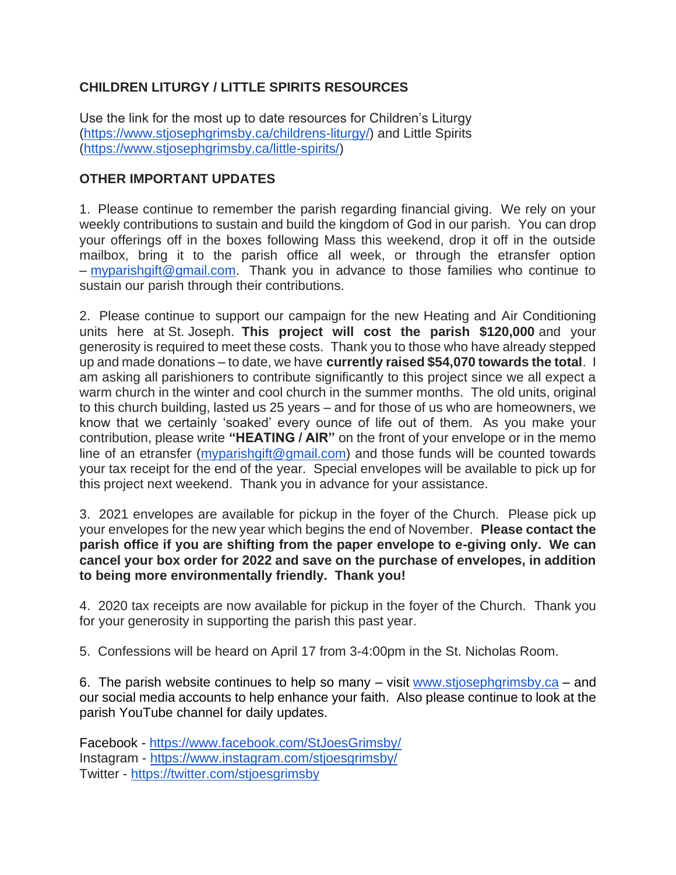# **CHILDREN LITURGY / LITTLE SPIRITS RESOURCES**

Use the link for the most up to date resources for Children's Liturgy [\(https://www.stjosephgrimsby.ca/childrens-liturgy/\)](https://www.stjosephgrimsby.ca/childrens-liturgy/) and Little Spirits [\(https://www.stjosephgrimsby.ca/little-spirits/\)](https://www.stjosephgrimsby.ca/little-spirits/)

## **OTHER IMPORTANT UPDATES**

1. Please continue to remember the parish regarding financial giving. We rely on your weekly contributions to sustain and build the kingdom of God in our parish. You can drop your offerings off in the boxes following Mass this weekend, drop it off in the outside mailbox, bring it to the parish office all week, or through the etransfer option – [myparishgift@gmail.com.](mailto:myparishgift@gmail.com) Thank you in advance to those families who continue to sustain our parish through their contributions.

2. Please continue to support our campaign for the new Heating and Air Conditioning units here at St. Joseph. **This project will cost the parish \$120,000** and your generosity is required to meet these costs. Thank you to those who have already stepped up and made donations – to date, we have **currently raised \$54,070 towards the total**. I am asking all parishioners to contribute significantly to this project since we all expect a warm church in the winter and cool church in the summer months. The old units, original to this church building, lasted us 25 years – and for those of us who are homeowners, we know that we certainly 'soaked' every ounce of life out of them. As you make your contribution, please write **"HEATING / AIR"** on the front of your envelope or in the memo line of an etransfer [\(myparishgift@gmail.com\)](mailto:myparishgift@gmail.com) and those funds will be counted towards your tax receipt for the end of the year. Special envelopes will be available to pick up for this project next weekend. Thank you in advance for your assistance.

3. 2021 envelopes are available for pickup in the foyer of the Church. Please pick up your envelopes for the new year which begins the end of November. **Please contact the parish office if you are shifting from the paper envelope to e-giving only. We can cancel your box order for 2022 and save on the purchase of envelopes, in addition to being more environmentally friendly. Thank you!**

4. 2020 tax receipts are now available for pickup in the foyer of the Church. Thank you for your generosity in supporting the parish this past year.

5. Confessions will be heard on April 17 from 3-4:00pm in the St. Nicholas Room.

6. The parish website continues to help so many  $-$  visit [www.stjosephgrimsby.ca](http://www.stjosephgrimsby.ca/)  $-$  and our social media accounts to help enhance your faith. Also please continue to look at the parish YouTube channel for daily updates.

Facebook - <https://www.facebook.com/StJoesGrimsby/> Instagram - <https://www.instagram.com/stjoesgrimsby/> Twitter - <https://twitter.com/stjoesgrimsby>